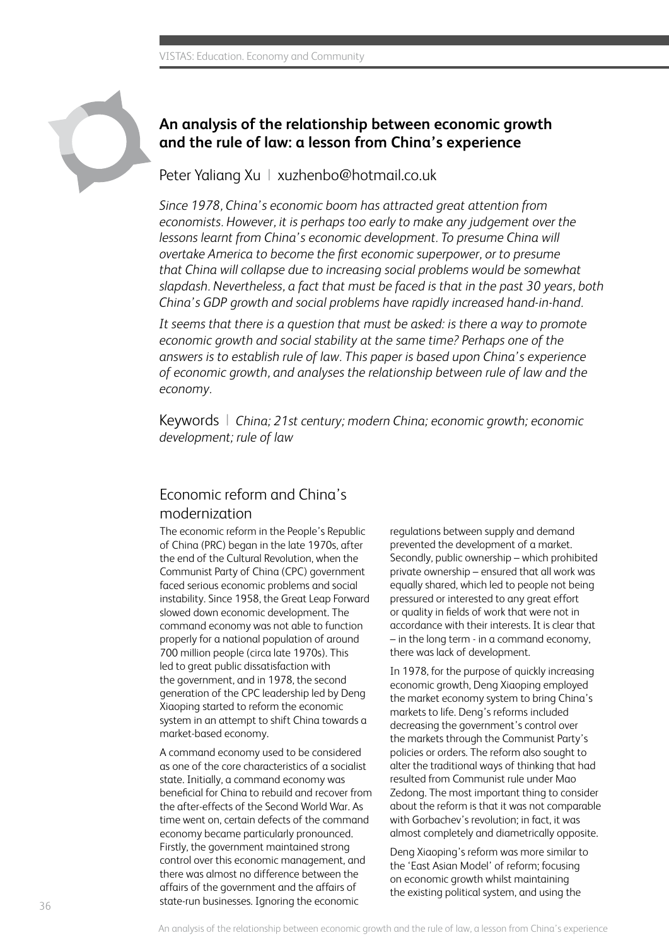

## **An analysis of the relationship between economic growth and the rule of law: a lesson from China's experience**

Peter Yaliang Xu | xuzhenbo@hotmail.co.uk

*Since 1978, China's economic boom has attracted great attention from economists. However, it is perhaps too early to make any judgement over the lessons learnt from China's economic development. To presume China will overtake America to become the first economic superpower, or to presume that China will collapse due to increasing social problems would be somewhat slapdash. Nevertheless, a fact that must be faced is that in the past 30 years, both China's GDP growth and social problems have rapidly increased hand-in-hand.* 

*It seems that there is a question that must be asked: is there a way to promote economic growth and social stability at the same time? Perhaps one of the answers is to establish rule of law. This paper is based upon China's experience of economic growth, and analyses the relationship between rule of law and the economy.*

Keywords | *China; 21st century; modern China; economic growth; economic development; rule of law*

## Economic reform and China's modernization

The economic reform in the People's Republic of China (PRC) began in the late 1970s, after the end of the Cultural Revolution, when the Communist Party of China (CPC) government faced serious economic problems and social instability. Since 1958, the Great Leap Forward slowed down economic development. The command economy was not able to function properly for a national population of around 700 million people (circa late 1970s). This led to great public dissatisfaction with the government, and in 1978, the second generation of the CPC leadership led by Deng Xiaoping started to reform the economic system in an attempt to shift China towards a market-based economy.

A command economy used to be considered as one of the core characteristics of a socialist state. Initially, a command economy was beneficial for China to rebuild and recover from the after-effects of the Second World War. As time went on, certain defects of the command economy became particularly pronounced. Firstly, the government maintained strong control over this economic management, and there was almost no difference between the affairs of the government and the affairs of state-run businesses. Ignoring the economic

regulations between supply and demand prevented the development of a market. Secondly, public ownership – which prohibited private ownership – ensured that all work was equally shared, which led to people not being pressured or interested to any great effort or quality in fields of work that were not in accordance with their interests. It is clear that – in the long term - in a command economy, there was lack of development.

In 1978, for the purpose of quickly increasing economic growth, Deng Xiaoping employed the market economy system to bring China's markets to life. Deng's reforms included decreasing the government's control over the markets through the Communist Party's policies or orders. The reform also sought to alter the traditional ways of thinking that had resulted from Communist rule under Mao Zedong. The most important thing to consider about the reform is that it was not comparable with Gorbachev's revolution; in fact, it was almost completely and diametrically opposite.

Deng Xiaoping's reform was more similar to the 'East Asian Model' of reform; focusing on economic growth whilst maintaining the existing political system, and using the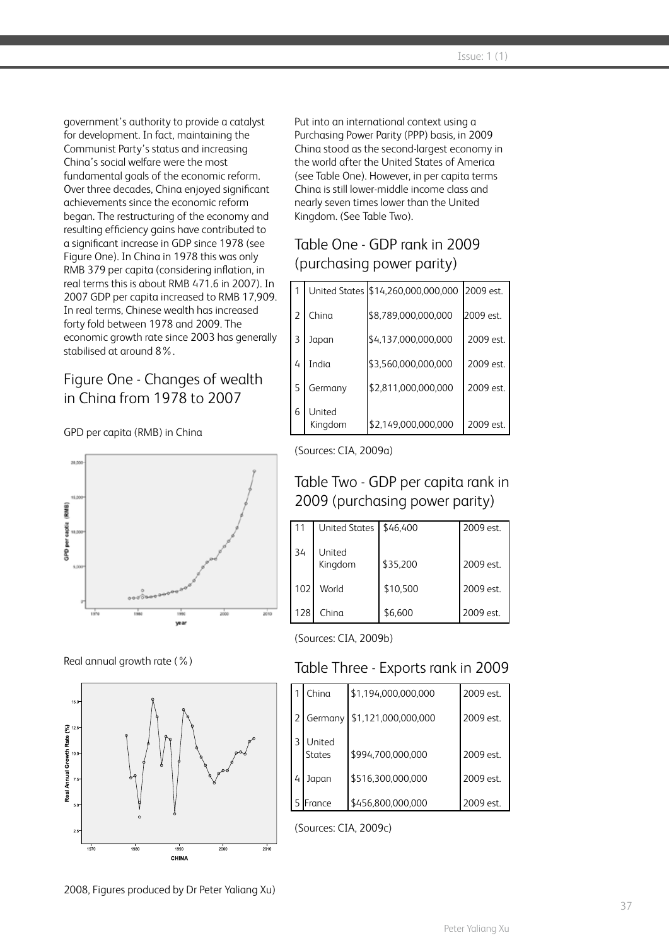government's authority to provide a catalyst for development. In fact, maintaining the Communist Party's status and increasing China's social welfare were the most fundamental goals of the economic reform. Over three decades, China enjoyed significant achievements since the economic reform began. The restructuring of the economy and resulting efficiency gains have contributed to a significant increase in GDP since 1978 (see Figure One). In China in 1978 this was only RMB 379 per capita (considering inflation, in real terms this is about RMB 471.6 in 2007). In 2007 GDP per capita increased to RMB 17,909. In real terms, Chinese wealth has increased forty fold between 1978 and 2009. The economic growth rate since 2003 has generally stabilised at around 8%.

# Figure One - Changes of wealth in China from 1978 to 2007

#### GPD per capita (RMB) in China



Real annual growth rate (%)



Put into an international context using a Purchasing Power Parity (PPP) basis, in 2009 China stood as the second-largest economy in the world after the United States of America (see Table One). However, in per capita terms China is still lower-middle income class and nearly seven times lower than the United Kingdom. (See Table Two).

# Table One - GDP rank in 2009 (purchasing power parity)

|                |                   | United States \$14,260,000,000,000 2009 est. |           |  |
|----------------|-------------------|----------------------------------------------|-----------|--|
| $\overline{2}$ | China             | \$8,789,000,000,000                          | 2009 est. |  |
| 3              | Japan             | \$4,137,000,000,000                          | 2009 est. |  |
| 4              | India             | \$3,560,000,000,000                          | 2009 est. |  |
| 5              | Germany           | \$2,811,000,000,000                          | 2009 est. |  |
| 6              | United<br>Kingdom | \$2,149,000,000,000                          | 2009 est. |  |

#### (Sources: CIA, 2009a)

## Table Two - GDP per capita rank in 2009 (purchasing power parity)

| 11  | <b>United States</b> | \$46,400 | 2009 est. |
|-----|----------------------|----------|-----------|
| 34  | United<br>Kingdom    | \$35,200 | 2009 est. |
| 102 | World                | \$10,500 | 2009 est. |
| 128 | China                | \$6,600  | 2009 est. |

(Sources: CIA, 2009b)

## Table Three - Exports rank in 2009

|                | China                   | \$1,194,000,000,000 | 2009 est. |
|----------------|-------------------------|---------------------|-----------|
| l 2            | Germany                 | \$1,121,000,000,000 | 2009 est. |
| ੨              | United<br><b>States</b> | \$994,700,000,000   | 2009 est. |
| $\overline{4}$ | Japan                   | \$516,300,000,000   | 2009 est. |
|                | France                  | \$456,800,000,000   | 2009 est. |

(Sources: CIA, 2009c)

2008, Figures produced by Dr Peter Yaliang Xu)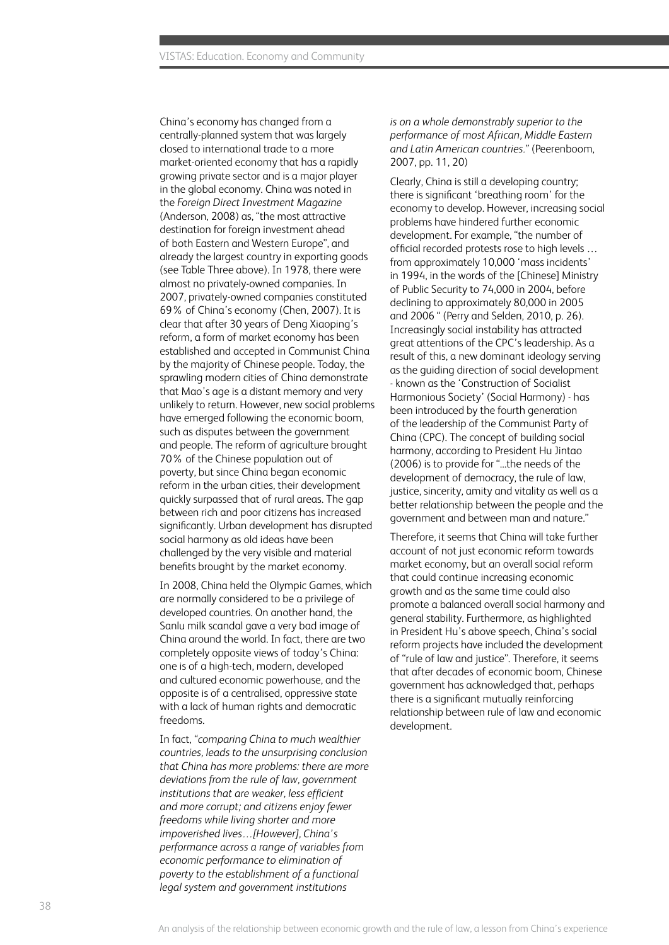China's economy has changed from a centrally-planned system that was largely closed to international trade to a more market-oriented economy that has a rapidly growing private sector and is a major player in the global economy. China was noted in the *Foreign Direct Investment Magazine* (Anderson, 2008) as, "the most attractive destination for foreign investment ahead of both Eastern and Western Europe", and already the largest country in exporting goods (see Table Three above). In 1978, there were almost no privately-owned companies. In 2007, privately-owned companies constituted 69% of China's economy (Chen, 2007). It is clear that after 30 years of Deng Xiaoping's reform, a form of market economy has been established and accepted in Communist China by the majority of Chinese people. Today, the sprawling modern cities of China demonstrate that Mao's age is a distant memory and very unlikely to return. However, new social problems have emerged following the economic boom, such as disputes between the government and people. The reform of agriculture brought 70% of the Chinese population out of poverty, but since China began economic reform in the urban cities, their development quickly surpassed that of rural areas. The gap between rich and poor citizens has increased significantly. Urban development has disrupted social harmony as old ideas have been challenged by the very visible and material benefits brought by the market economy.

In 2008, China held the Olympic Games, which are normally considered to be a privilege of developed countries. On another hand, the Sanlu milk scandal gave a very bad image of China around the world. In fact, there are two completely opposite views of today's China: one is of a high-tech, modern, developed and cultured economic powerhouse, and the opposite is of a centralised, oppressive state with a lack of human rights and democratic freedoms.

In fact, *"comparing China to much wealthier countries, leads to the unsurprising conclusion that China has more problems: there are more deviations from the rule of law, government institutions that are weaker, less efficient and more corrupt; and citizens enjoy fewer freedoms while living shorter and more impoverished lives…[However], China's performance across a range of variables from economic performance to elimination of poverty to the establishment of a functional legal system and government institutions* 

*is on a whole demonstrably superior to the performance of most African, Middle Eastern and Latin American countries."* (Peerenboom, 2007, pp. 11, 20)

Clearly, China is still a developing country; there is significant 'breathing room' for the economy to develop. However, increasing social problems have hindered further economic development. For example, "the number of official recorded protests rose to high levels … from approximately 10,000 'mass incidents' in 1994, in the words of the [Chinese] Ministry of Public Security to 74,000 in 2004, before declining to approximately 80,000 in 2005 and 2006 " (Perry and Selden, 2010, p. 26). Increasingly social instability has attracted great attentions of the CPC's leadership. As a result of this, a new dominant ideology serving as the guiding direction of social development - known as the 'Construction of Socialist Harmonious Society' (Social Harmony) - has been introduced by the fourth generation of the leadership of the Communist Party of China (CPC). The concept of building social harmony, according to President Hu Jintao (2006) is to provide for "...the needs of the development of democracy, the rule of law, justice, sincerity, amity and vitality as well as a better relationship between the people and the government and between man and nature."

Therefore, it seems that China will take further account of not just economic reform towards market economy, but an overall social reform that could continue increasing economic growth and as the same time could also promote a balanced overall social harmony and general stability. Furthermore, as highlighted in President Hu's above speech, China's social reform projects have included the development of "rule of law and justice". Therefore, it seems that after decades of economic boom, Chinese government has acknowledged that, perhaps there is a significant mutually reinforcing relationship between rule of law and economic development.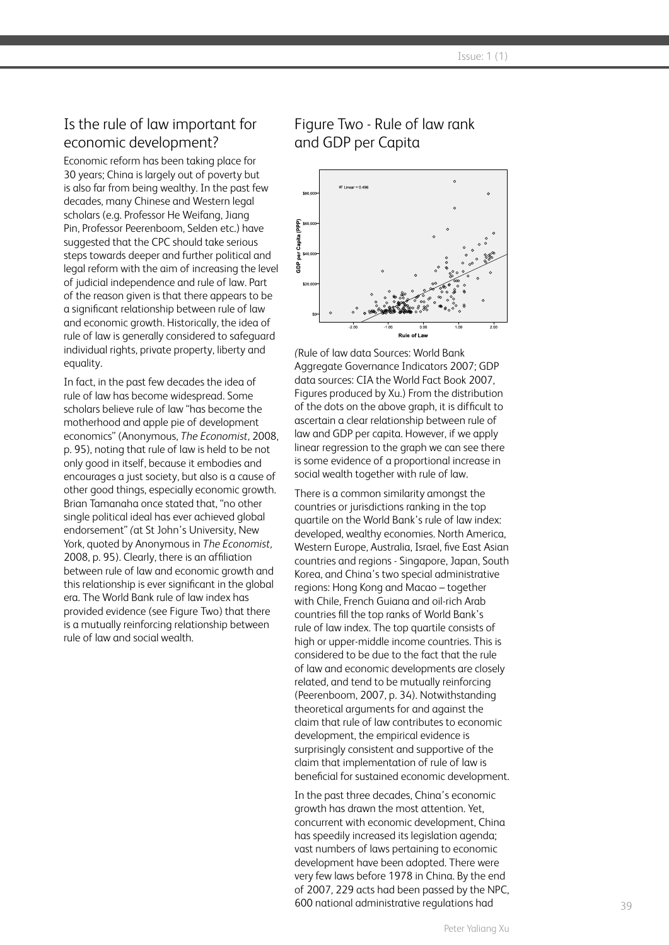## Is the rule of law important for economic development?

Economic reform has been taking place for 30 years; China is largely out of poverty but is also far from being wealthy. In the past few decades, many Chinese and Western legal scholars (e.g. Professor He Weifang, Jiang Pin, Professor Peerenboom, Selden etc.) have suggested that the CPC should take serious steps towards deeper and further political and legal reform with the aim of increasing the level of judicial independence and rule of law. Part of the reason given is that there appears to be a significant relationship between rule of law and economic growth. Historically, the idea of rule of law is generally considered to safeguard individual rights, private property, liberty and equality.

In fact, in the past few decades the idea of rule of law has become widespread. Some scholars believe rule of law "has become the motherhood and apple pie of development economics" (Anonymous, *The Economist,* 2008, p. 95), noting that rule of law is held to be not only good in itself, because it embodies and encourages a just society, but also is a cause of other good things, especially economic growth. Brian Tamanaha once stated that, "no other single political ideal has ever achieved global endorsement" *(*at St John's University, New York, quoted by Anonymous in *The Economist,*  2008, p. 95). Clearly, there is an affiliation between rule of law and economic growth and this relationship is ever significant in the global era. The World Bank rule of law index has provided evidence (see Figure Two) that there is a mutually reinforcing relationship between rule of law and social wealth.

## Figure Two - Rule of law rank and GDP per Capita



*(*Rule of law data Sources: World Bank Aggregate Governance Indicators 2007; GDP data sources: CIA the World Fact Book 2007, Figures produced by Xu.) From the distribution of the dots on the above graph, it is difficult to ascertain a clear relationship between rule of law and GDP per capita. However, if we apply linear regression to the graph we can see there is some evidence of a proportional increase in social wealth together with rule of law.

There is a common similarity amongst the countries or jurisdictions ranking in the top quartile on the World Bank's rule of law index: developed, wealthy economies. North America, Western Europe, Australia, Israel, five East Asian countries and regions - Singapore, Japan, South Korea, and China's two special administrative regions: Hong Kong and Macao – together with Chile, French Guiana and oil-rich Arab countries fill the top ranks of World Bank's rule of law index. The top quartile consists of high or upper-middle income countries. This is considered to be due to the fact that the rule of law and economic developments are closely related, and tend to be mutually reinforcing (Peerenboom, 2007, p. 34). Notwithstanding theoretical arguments for and against the claim that rule of law contributes to economic development, the empirical evidence is surprisingly consistent and supportive of the claim that implementation of rule of law is beneficial for sustained economic development.

In the past three decades, China's economic growth has drawn the most attention. Yet, concurrent with economic development, China has speedily increased its legislation agenda; vast numbers of laws pertaining to economic development have been adopted. There were very few laws before 1978 in China. By the end of 2007, 229 acts had been passed by the NPC, 600 national administrative regulations had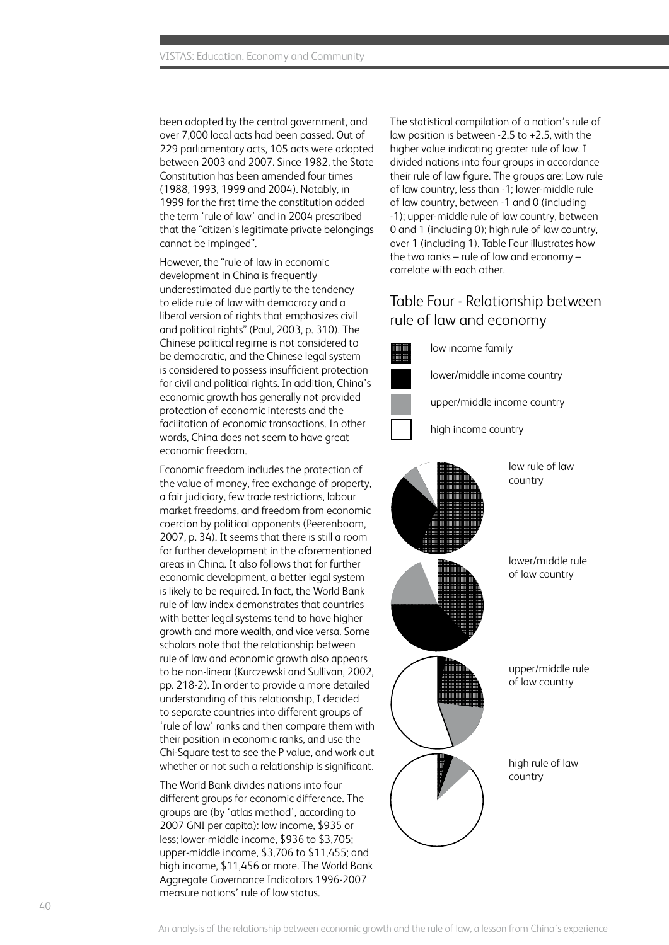been adopted by the central government, and over 7,000 local acts had been passed. Out of 229 parliamentary acts, 105 acts were adopted between 2003 and 2007. Since 1982, the State Constitution has been amended four times (1988, 1993, 1999 and 2004). Notably, in 1999 for the first time the constitution added the term 'rule of law' and in 2004 prescribed that the "citizen's legitimate private belongings cannot be impinged".

However, the "rule of law in economic development in China is frequently underestimated due partly to the tendency to elide rule of law with democracy and a liberal version of rights that emphasizes civil and political rights" (Paul, 2003, p. 310). The Chinese political regime is not considered to be democratic, and the Chinese legal system is considered to possess insufficient protection for civil and political rights. In addition, China's economic growth has generally not provided protection of economic interests and the facilitation of economic transactions. In other words, China does not seem to have great economic freedom.

Economic freedom includes the protection of the value of money, free exchange of property, a fair judiciary, few trade restrictions, labour market freedoms, and freedom from economic coercion by political opponents (Peerenboom, 2007, p. 34). It seems that there is still a room for further development in the aforementioned greas in China. It also follows that for further economic development, a better legal system is likely to be required. In fact, the World Bank rule of law index demonstrates that countries with better legal systems tend to have higher growth and more wealth, and vice versa. Some scholars note that the relationship between rule of law and economic growth also appears to be non-linear (Kurczewski and Sullivan, 2002, pp. 218-2). In order to provide a more detailed understanding of this relationship, I decided to separate countries into different groups of 'rule of law' ranks and then compare them with their position in economic ranks, and use the Chi-Square test to see the P value, and work out whether or not such a relationship is significant.

The World Bank divides nations into four different groups for economic difference. The groups are (by 'atlas method', according to 2007 GNI per capita): low income, \$935 or less; lower-middle income, \$936 to \$3,705; upper-middle income, \$3,706 to \$11,455; and high income, \$11,456 or more. The World Bank Aggregate Governance Indicators 1996-2007 measure nations' rule of law status.

The statistical compilation of a nation's rule of law position is between -2.5 to +2.5, with the higher value indicating greater rule of law. I divided nations into four groups in accordance their rule of law figure. The groups are: Low rule of law country, less than -1; lower-middle rule of law country, between -1 and 0 (including -1); upper-middle rule of law country, between 0 and 1 (including 0): high rule of law country. over 1 (including 1). Table Four illustrates how the two ranks – rule of law and economy – correlate with each other.

#### Table Four - Relationship between rule of law and economy

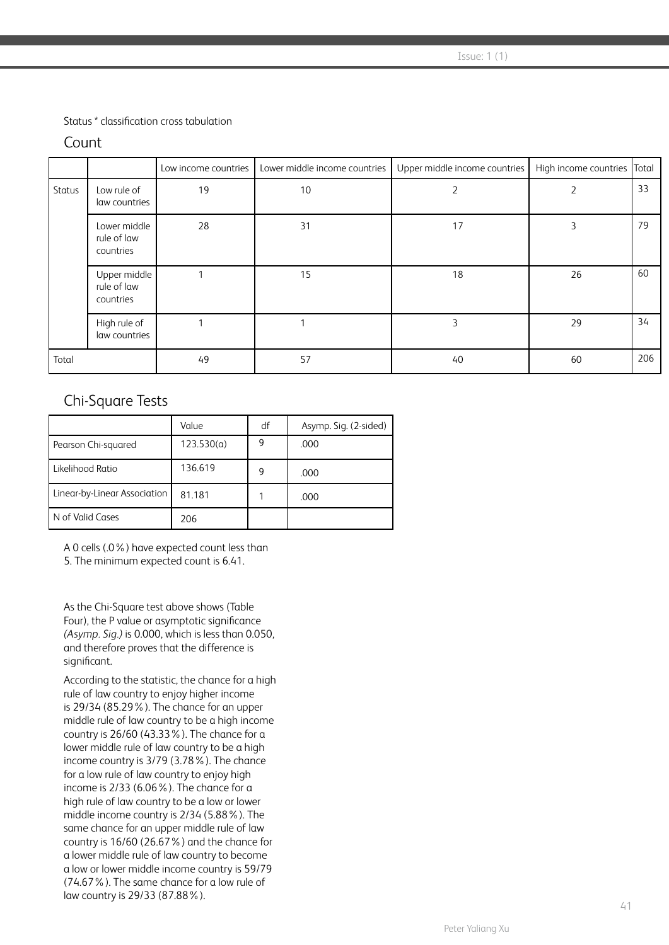$\sqrt{10}$  Issue: 1 (1)

Status \* classification cross tabulation

#### Count

|        |                                          | Low income countries | Lower middle income countries | Upper middle income countries | High income countries Total |     |
|--------|------------------------------------------|----------------------|-------------------------------|-------------------------------|-----------------------------|-----|
| Status | Low rule of<br>law countries             | 19                   | 10                            | 2                             |                             | 33  |
|        | Lower middle<br>rule of law<br>countries | 28                   | 31                            | 17                            | 3                           | 79  |
|        | Upper middle<br>rule of law<br>countries |                      | 15                            | 18                            | 26                          | 60  |
|        | High rule of<br>law countries            |                      |                               | 3                             | 29                          | 34  |
| Total  |                                          | 49                   | 57                            | 40                            | 60                          | 206 |

### Chi-Square Tests

|                              | Value      | df | Asymp. Sig. (2-sided) |
|------------------------------|------------|----|-----------------------|
| Pearson Chi-squared          | 123.530(a) | 9  | .000                  |
| Likelihood Ratio             | 136.619    | 9  | .000                  |
| Linear-by-Linear Association | 81.181     |    | .000                  |
| N of Valid Cases             | 206        |    |                       |

A 0 cells (.0%) have expected count less than

5. The minimum expected count is 6.41.

As the Chi-Square test above shows (Table Four), the P value or asymptotic significance *(Asymp. Sig.)* is 0.000, which is less than 0.050, and therefore proves that the difference is significant.

According to the statistic, the chance for a high rule of law country to enjoy higher income is 29/34 (85.29%). The chance for an upper middle rule of law country to be a high income country is 26/60 (43.33%). The chance for a lower middle rule of law country to be a high income country is 3/79 (3.78%). The chance for a low rule of law country to enjoy high income is 2/33 (6.06%). The chance for a high rule of law country to be a low or lower middle income country is 2/34 (5.88%). The same chance for an upper middle rule of law country is 16/60 (26.67%) and the chance for a lower middle rule of law country to become a low or lower middle income country is 59/79 (74.67%). The same chance for a low rule of law country is 29/33 (87.88%).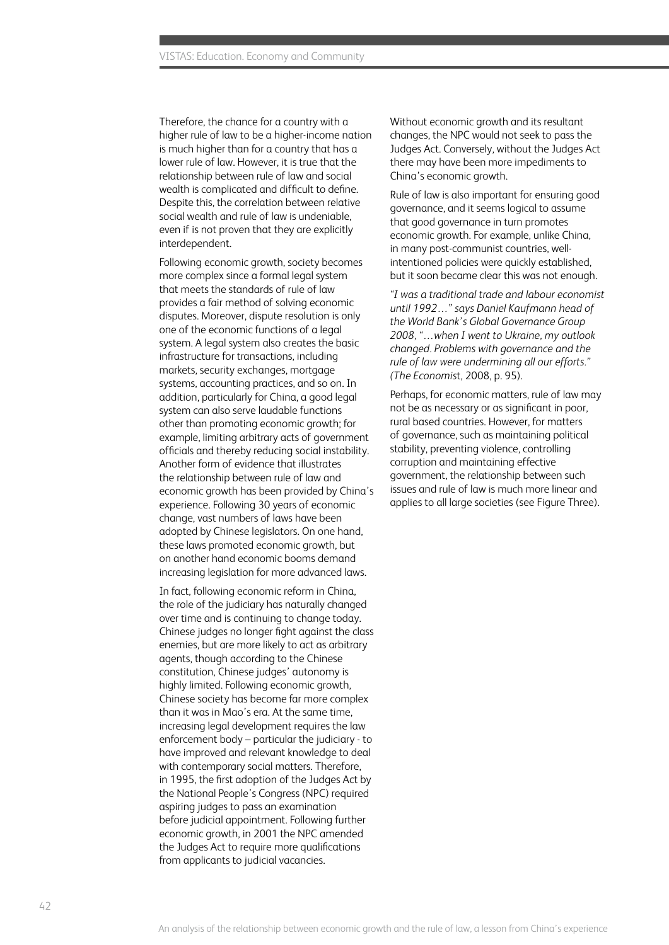Therefore, the chance for a country with a higher rule of law to be a higher-income nation is much higher than for a country that has a lower rule of law. However, it is true that the relationship between rule of law and social wealth is complicated and difficult to define. Despite this, the correlation between relative social wealth and rule of law is undeniable, even if is not proven that they are explicitly interdependent.

Following economic growth, society becomes more complex since a formal legal system that meets the standards of rule of law provides a fair method of solving economic disputes. Moreover, dispute resolution is only one of the economic functions of a legal system. A legal system also creates the basic infrastructure for transactions, including markets, security exchanges, mortgage systems, accounting practices, and so on. In addition, particularly for China, a good legal system can also serve laudable functions other than promoting economic growth; for example, limiting arbitrary acts of government officials and thereby reducing social instability. Another form of evidence that illustrates the relationship between rule of law and economic growth has been provided by China's experience. Following 30 years of economic change, vast numbers of laws have been adopted by Chinese legislators. On one hand, these laws promoted economic growth, but on another hand economic booms demand increasing legislation for more advanced laws.

In fact, following economic reform in China, the role of the judiciary has naturally changed over time and is continuing to change today. Chinese judges no longer fight against the class enemies, but are more likely to act as arbitrary agents, though according to the Chinese constitution, Chinese judges' autonomy is highly limited. Following economic growth, Chinese society has become far more complex than it was in Mao's era. At the same time, increasing legal development requires the law enforcement body – particular the judiciary - to have improved and relevant knowledge to deal with contemporary social matters. Therefore, in 1995, the first adoption of the Judges Act by the National People's Congress (NPC) required aspiring judges to pass an examination before judicial appointment. Following further economic growth, in 2001 the NPC amended the Judges Act to require more qualifications from applicants to judicial vacancies.

Without economic growth and its resultant changes, the NPC would not seek to pass the Judges Act. Conversely, without the Judges Act there may have been more impediments to China's economic growth.

Rule of law is also important for ensuring good governance, and it seems logical to assume that good governance in turn promotes economic growth. For example, unlike China, in many post-communist countries, wellintentioned policies were quickly established, but it soon became clear this was not enough.

*"I was a traditional trade and labour economist until 1992…" says Daniel Kaufmann head of the World Bank's Global Governance Group 2008, "…when I went to Ukraine, my outlook changed. Problems with governance and the rule of law were undermining all our efforts." (The Economis*t, 2008, p. 95).

Perhaps, for economic matters, rule of law may not be as necessary or as significant in poor, rural based countries. However, for matters of governance, such as maintaining political stability, preventing violence, controlling corruption and maintaining effective government, the relationship between such issues and rule of law is much more linear and applies to all large societies (see Figure Three).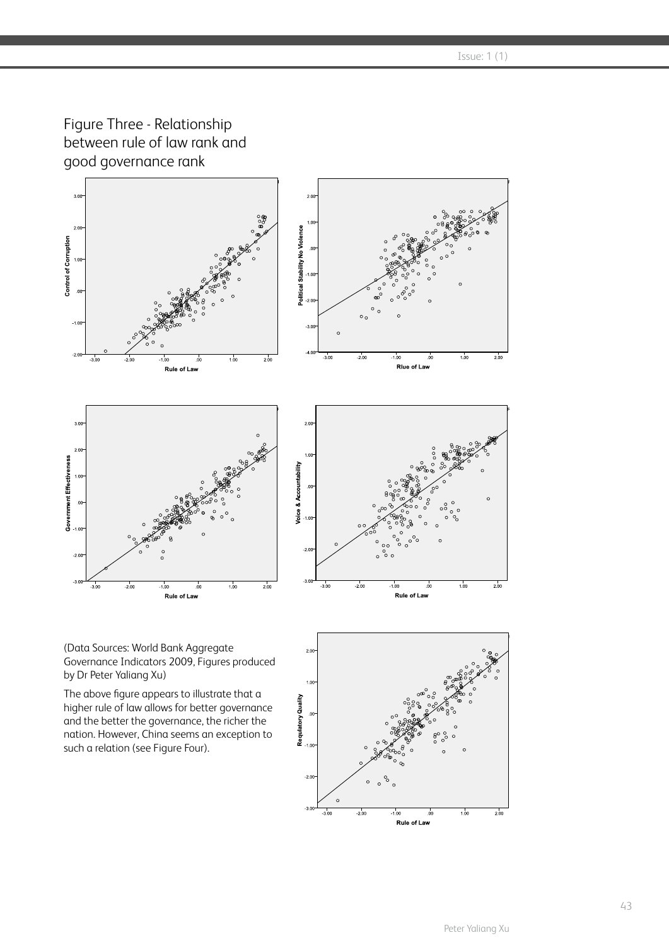$\sqrt{10}$  Issue: 1 (1)

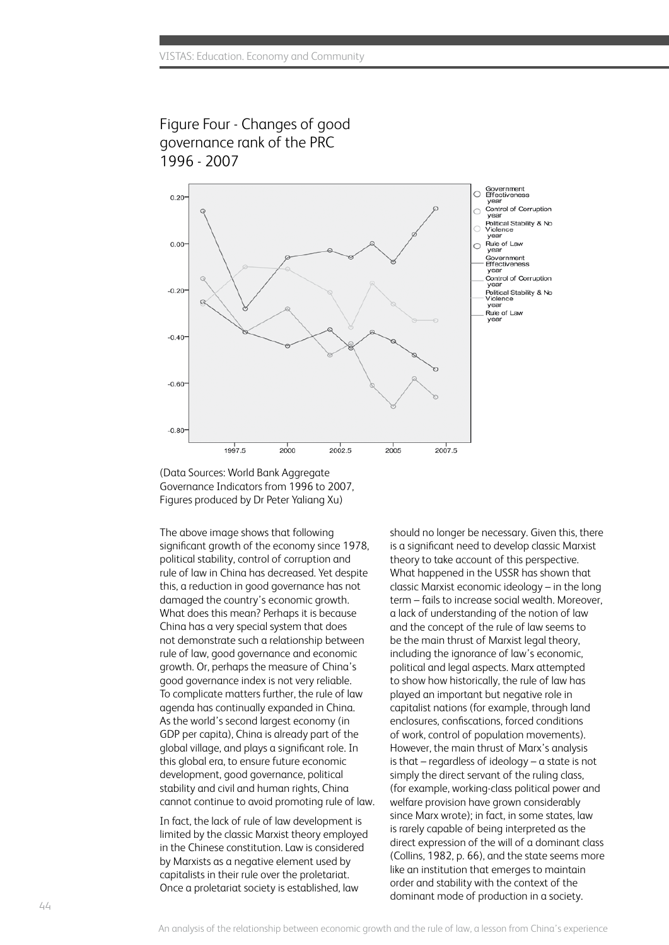



(Data Sources: World Bank Aggregate Governance Indicators from 1996 to 2007, Figures produced by Dr Peter Yaliang Xu)

The above image shows that following significant growth of the economy since 1978, political stability, control of corruption and rule of law in China has decreased. Yet despite this, a reduction in good governance has not damaged the country's economic growth. What does this mean? Perhaps it is because China has a very special system that does not demonstrate such a relationship between rule of law, good governance and economic growth. Or, perhaps the measure of China's good governance index is not very reliable. To complicate matters further, the rule of law agenda has continually expanded in China. As the world's second largest economy (in GDP per capita), China is already part of the global village, and plays a significant role. In this global era, to ensure future economic development, good governance, political stability and civil and human rights, China cannot continue to avoid promoting rule of law.

In fact, the lack of rule of law development is limited by the classic Marxist theory employed in the Chinese constitution. Law is considered by Marxists as a negative element used by capitalists in their rule over the proletariat. Once a proletariat society is established, law

should no longer be necessary. Given this, there is a significant need to develop classic Marxist theory to take account of this perspective. What happened in the USSR has shown that classic Marxist economic ideology – in the long term – fails to increase social wealth. Moreover, a lack of understanding of the notion of law and the concept of the rule of law seems to be the main thrust of Marxist legal theory, including the ignorance of law's economic, political and legal aspects. Marx attempted to show how historically, the rule of law has played an important but negative role in capitalist nations (for example, through land enclosures, confiscations, forced conditions of work, control of population movements). However, the main thrust of Marx's analysis is that – regardless of ideology – a state is not simply the direct servant of the ruling class, (for example, working-class political power and welfare provision have grown considerably since Marx wrote); in fact, in some states, law is rarely capable of being interpreted as the direct expression of the will of a dominant class (Collins, 1982, p. 66), and the state seems more like an institution that emerges to maintain order and stability with the context of the dominant mode of production in a society.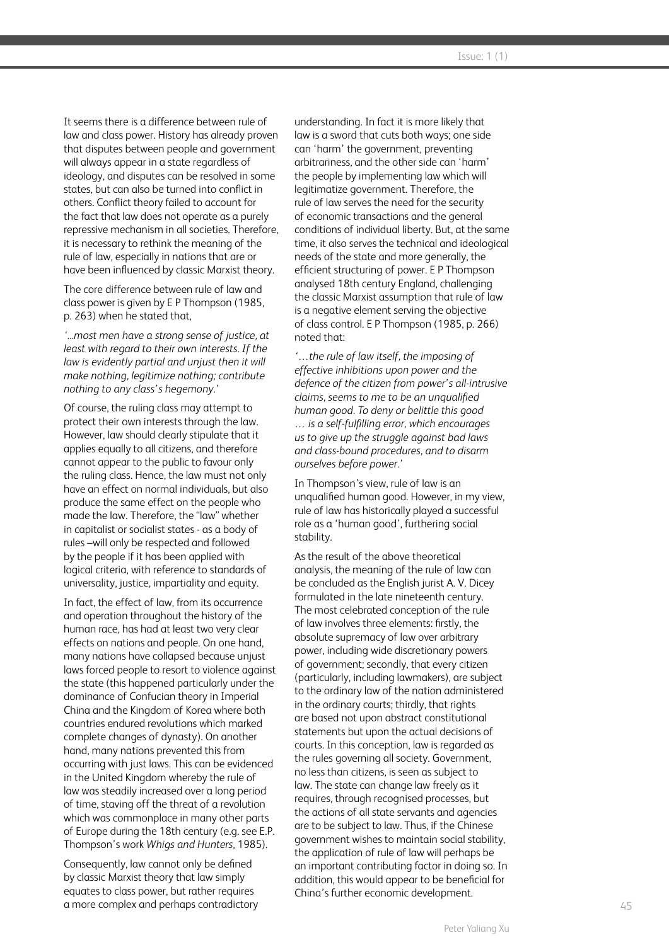It seems there is a difference between rule of law and class power. History has already proven that disputes between people and government will always appear in a state regardless of ideology, and disputes can be resolved in some states, but can also be turned into conflict in others. Conflict theory failed to account for the fact that law does not operate as a purely repressive mechanism in all societies. Therefore, it is necessary to rethink the meaning of the rule of law, especially in nations that are or have been influenced by classic Marxist theory.

The core difference between rule of law and class power is given by E P Thompson (1985, p. 263) when he stated that,

*'...most men have a strong sense of justice, at least with regard to their own interests. If the law is evidently partial and unjust then it will make nothing, legitimize nothing; contribute nothing to any class's hegemony.'*

Of course, the ruling class may attempt to protect their own interests through the law. However, law should clearly stipulate that it applies equally to all citizens, and therefore cannot appear to the public to favour only the ruling class. Hence, the law must not only have an effect on normal individuals, but also produce the same effect on the people who made the law. Therefore, the "law" whether in capitalist or socialist states - as a body of rules –will only be respected and followed by the people if it has been applied with logical criteria, with reference to standards of universality, justice, impartiality and equity.

In fact, the effect of law, from its occurrence and operation throughout the history of the human race, has had at least two very clear effects on nations and people. On one hand, many nations have collapsed because unjust laws forced people to resort to violence against the state (this happened particularly under the dominance of Confucian theory in Imperial China and the Kingdom of Korea where both countries endured revolutions which marked complete changes of dynasty). On another hand, many nations prevented this from occurring with just laws. This can be evidenced in the United Kingdom whereby the rule of law was steadily increased over a long period of time, staving off the threat of a revolution which was commonplace in many other parts of Europe during the 18th century (e.g. see E.P. Thompson's work *Whigs and Hunters*, 1985).

Consequently, law cannot only be defined by classic Marxist theory that law simply equates to class power, but rather requires a more complex and perhaps contradictory understanding. In fact it is more likely that law is a sword that cuts both ways; one side can 'harm' the government, preventing arbitrariness, and the other side can 'harm' the people by implementing law which will legitimatize government. Therefore, the rule of law serves the need for the security of economic transactions and the general conditions of individual liberty. But, at the same time, it also serves the technical and ideological needs of the state and more generally, the efficient structuring of power. E P Thompson analysed 18th century England, challenging the classic Marxist assumption that rule of law is a negative element serving the objective of class control. E P Thompson (1985, p. 266) noted that:

*'…the rule of law itself, the imposing of effective inhibitions upon power and the defence of the citizen from power's all-intrusive claims, seems to me to be an unqualified human good. To deny or belittle this good … is a self-fulfilling error, which encourages us to give up the struggle against bad laws and class-bound procedures, and to disarm ourselves before power.'*

In Thompson's view, rule of law is an unqualified human good. However, in my view, rule of law has historically played a successful role as a 'human good', furthering social stability.

As the result of the above theoretical analysis, the meaning of the rule of law can be concluded as the English jurist A. V. Dicey formulated in the late nineteenth century. The most celebrated conception of the rule of law involves three elements: firstly, the absolute supremacy of law over arbitrary power, including wide discretionary powers of government; secondly, that every citizen (particularly, including lawmakers), are subject to the ordinary law of the nation administered in the ordinary courts; thirdly, that rights are based not upon abstract constitutional statements but upon the actual decisions of courts. In this conception, law is regarded as the rules governing all society. Government, no less than citizens, is seen as subject to law. The state can change law freely as it requires, through recognised processes, but the actions of all state servants and agencies are to be subject to law. Thus, if the Chinese government wishes to maintain social stability, the application of rule of law will perhaps be an important contributing factor in doing so. In addition, this would appear to be beneficial for China's further economic development.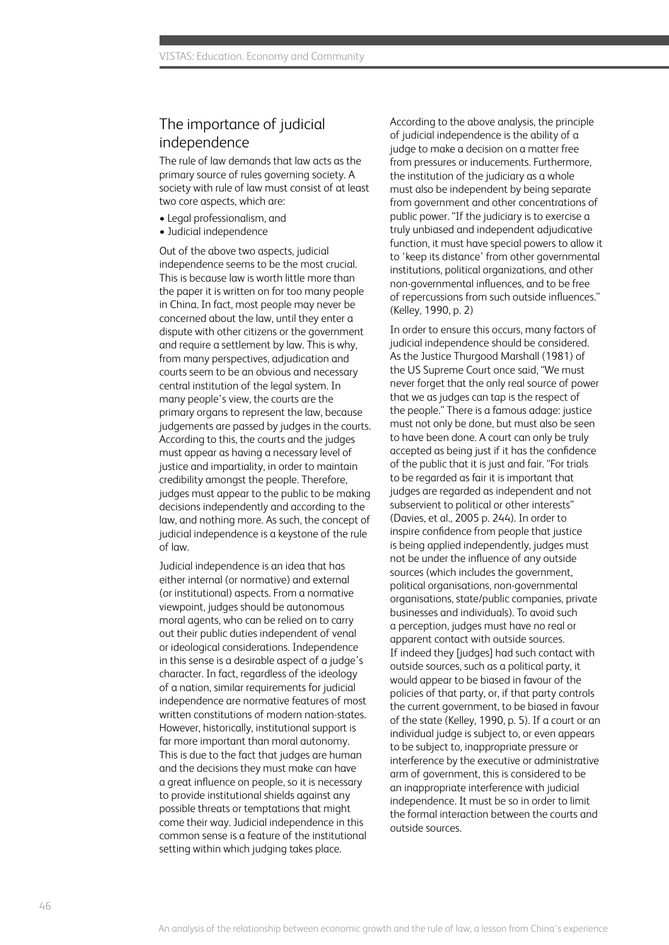### The importance of judicial independence

The rule of law demands that law acts as the primary source of rules governing society. A society with rule of law must consist of at least two core aspects, which are:

- Legal professionalism, and
- Judicial independence

Out of the above two aspects, judicial independence seems to be the most crucial. This is because law is worth little more than the paper it is written on for too many people in China. In fact, most people may never be concerned about the law, until they enter a dispute with other citizens or the government and require a settlement by law. This is why, from many perspectives, adjudication and courts seem to be an obvious and necessary central institution of the legal system. In many people's view, the courts are the primary organs to represent the law, because judgements are passed by judges in the courts. According to this, the courts and the judges must appear as having a necessary level of justice and impartiality, in order to maintain credibility amongst the people. Therefore, judges must appear to the public to be making decisions independently and according to the law, and nothing more. As such, the concept of judicial independence is a keystone of the rule of law.

Judicial independence is an idea that has either internal (or normative) and external (or institutional) aspects. From a normative viewpoint, judges should be autonomous moral agents, who can be relied on to carry out their public duties independent of venal or ideological considerations. Independence in this sense is a desirable aspect of a judge's character. In fact, regardless of the ideology of a nation, similar requirements for judicial independence are normative features of most written constitutions of modern nation-states. However, historically, institutional support is far more important than moral autonomy. This is due to the fact that judges are human and the decisions they must make can have a great influence on people, so it is necessary to provide institutional shields against any possible threats or temptations that might come their way. Judicial independence in this common sense is a feature of the institutional setting within which judging takes place.

According to the above analysis, the principle of judicial independence is the ability of a judge to make a decision on a matter free from pressures or inducements. Furthermore, the institution of the judiciary as a whole must also be independent by being separate from government and other concentrations of public power. "If the judiciary is to exercise a truly unbiased and independent adjudicative function, it must have special powers to allow it to 'keep its distance' from other governmental institutions, political organizations, and other non-governmental influences, and to be free of repercussions from such outside influences." (Kelley, 1990, p. 2)

In order to ensure this occurs, many factors of judicial independence should be considered. As the Justice Thurgood Marshall (1981) of the US Supreme Court once said, "We must never forget that the only real source of power that we as judges can tap is the respect of the people." There is a famous adage: justice must not only be done, but must also be seen to have been done. A court can only be truly accepted as being just if it has the confidence of the public that it is just and fair. "For trials to be regarded as fair it is important that judges are regarded as independent and not subservient to political or other interests" (Davies, et al., 2005 p. 244). In order to inspire confidence from people that justice is being applied independently, judges must not be under the influence of any outside sources (which includes the government, political organisations, non-governmental organisations, state/public companies, private businesses and individuals). To avoid such a perception, judges must have no real or apparent contact with outside sources. If indeed they [judges] had such contact with outside sources, such as a political party, it would appear to be biased in favour of the policies of that party, or, if that party controls the current government, to be biased in favour of the state (Kelley, 1990, p. 5). If a court or an individual judge is subject to, or even appears to be subject to, inappropriate pressure or interference by the executive or administrative arm of government, this is considered to be an inappropriate interference with judicial independence. It must be so in order to limit the formal interaction between the courts and outside sources.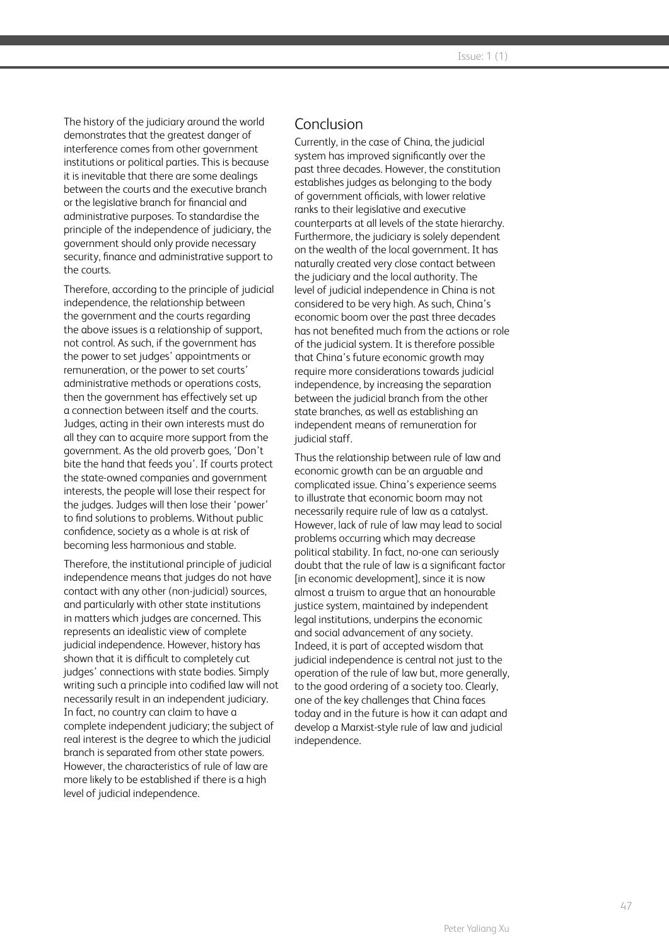The history of the judiciary around the world demonstrates that the greatest danger of interference comes from other government institutions or political parties. This is because it is inevitable that there are some dealings between the courts and the executive branch or the legislative branch for financial and administrative purposes. To standardise the principle of the independence of judiciary, the government should only provide necessary security, finance and administrative support to the courts.

Therefore, according to the principle of judicial independence, the relationship between the government and the courts regarding the above issues is a relationship of support, not control. As such, if the government has the power to set judges' appointments or remuneration, or the power to set courts' administrative methods or operations costs, then the government has effectively set up a connection between itself and the courts. Judges, acting in their own interests must do all they can to acquire more support from the government. As the old proverb goes, 'Don't bite the hand that feeds you'. If courts protect the state-owned companies and government interests, the people will lose their respect for the judges. Judges will then lose their 'power' to find solutions to problems. Without public confidence, society as a whole is at risk of becoming less harmonious and stable.

Therefore, the institutional principle of judicial independence means that judges do not have contact with any other (non-judicial) sources, and particularly with other state institutions in matters which judges are concerned. This represents an idealistic view of complete judicial independence. However, history has shown that it is difficult to completely cut judges' connections with state bodies. Simply writing such a principle into codified law will not necessarily result in an independent judiciary. In fact, no country can claim to have a complete independent judiciary; the subject of real interest is the degree to which the judicial branch is separated from other state powers. However, the characteristics of rule of law are more likely to be established if there is a high level of judicial independence.

#### Conclusion

Currently, in the case of China, the judicial system has improved significantly over the past three decades. However, the constitution establishes judges as belonging to the body of government officials, with lower relative ranks to their legislative and executive counterparts at all levels of the state hierarchy. Furthermore, the judiciary is solely dependent on the wealth of the local government. It has naturally created very close contact between the judiciary and the local authority. The level of judicial independence in China is not considered to be very high. As such, China's economic boom over the past three decades has not benefited much from the actions or role of the judicial system. It is therefore possible that China's future economic growth may require more considerations towards judicial independence, by increasing the separation between the judicial branch from the other state branches, as well as establishing an independent means of remuneration for judicial staff.

Thus the relationship between rule of law and economic growth can be an arguable and complicated issue. China's experience seems to illustrate that economic boom may not necessarily require rule of law as a catalyst. However, lack of rule of law may lead to social problems occurring which may decrease political stability. In fact, no-one can seriously doubt that the rule of law is a significant factor [in economic development], since it is now almost a truism to argue that an honourable justice system, maintained by independent legal institutions, underpins the economic and social advancement of any society. Indeed, it is part of accepted wisdom that judicial independence is central not just to the operation of the rule of law but, more generally, to the good ordering of a society too. Clearly, one of the key challenges that China faces today and in the future is how it can adapt and develop a Marxist-style rule of law and judicial independence.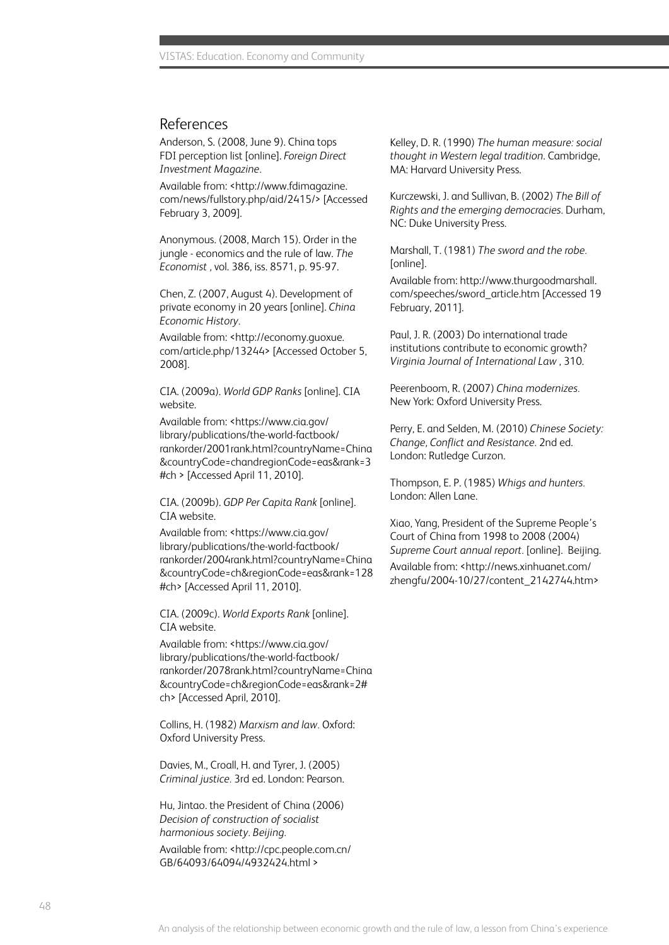#### References

Anderson, S. (2008, June 9). China tops FDI perception list [online]. *Foreign Direct Investment Magazine.*

Available from: <http://www.fdimagazine. com/news/fullstory.php/aid/2415/> [Accessed February 3, 2009].

Anonymous. (2008, March 15). Order in the jungle - economics and the rule of law. *The Economist ,* vol. 386, iss. 8571, p. 95-97.

Chen, Z. (2007, August 4). Development of private economy in 20 years [online]. *China Economic History.* 

Available from: <http://economy.guoxue. com/article.php/13244> [Accessed October 5, 2008].

CIA. (2009a). *World GDP Ranks* [online]. CIA website.

Available from: <https://www.cia.gov/ library/publications/the-world-factbook/ rankorder/2001rank.html?countryName=China &countryCode=chandregionCode=eas&rank=3 #ch > [Accessed April 11, 2010].

CIA. (2009b). *GDP Per Capita Rank* [online]. CIA website.

Available from: <https://www.cia.gov/ library/publications/the-world-factbook/ rankorder/2004rank.html?countryName=China &countryCode=ch&regionCode=eas&rank=128 #ch> [Accessed April 11, 2010].

CIA. (2009c). *World Exports Rank* [online]. CIA website.

Available from: <https://www.cia.gov/ library/publications/the-world-factbook/ rankorder/2078rank.html?countryName=China &countryCode=ch&regionCode=eas&rank=2# ch> [Accessed April, 2010].

Collins, H. (1982) *Marxism and law.* Oxford: Oxford University Press.

Davies, M., Croall, H. and Tyrer, J. (2005) *Criminal justice.* 3rd ed. London: Pearson.

Hu, Jintao. the President of China (2006) *Decision of construction of socialist harmonious society. Beijing.* 

Available from: <http://cpc.people.com.cn/ GB/64093/64094/4932424.html >

Kelley, D. R. (1990) *The human measure: social thought in Western legal tradition*. Cambridge, MA: Harvard University Press.

Kurczewski, J. and Sullivan, B. (2002) *The Bill of Rights and the emerging democracies.* Durham, NC: Duke University Press.

Marshall, T. (1981) *The sword and the robe.*  [online].

Available from: http://www.thurgoodmarshall. com/speeches/sword\_article.htm [Accessed 19 February, 2011].

Paul, J. R. (2003) Do international trade institutions contribute to economic growth? *Virginia Journal of International Law* , 310.

Peerenboom, R. (2007) *China modernizes.* New York: Oxford University Press.

Perry, E. and Selden, M. (2010) *Chinese Society: Change, Conflict and Resistance.* 2nd ed. London: Rutledge Curzon.

Thompson, E. P. (1985) *Whigs and hunters.*  London: Allen Lane.

Xiao, Yang, President of the Supreme People's Court of China from 1998 to 2008 (2004) *Supreme Court annual report.* [online]. Beijing. Available from: <http://news.xinhuanet.com/ zhengfu/2004-10/27/content\_2142744.htm>